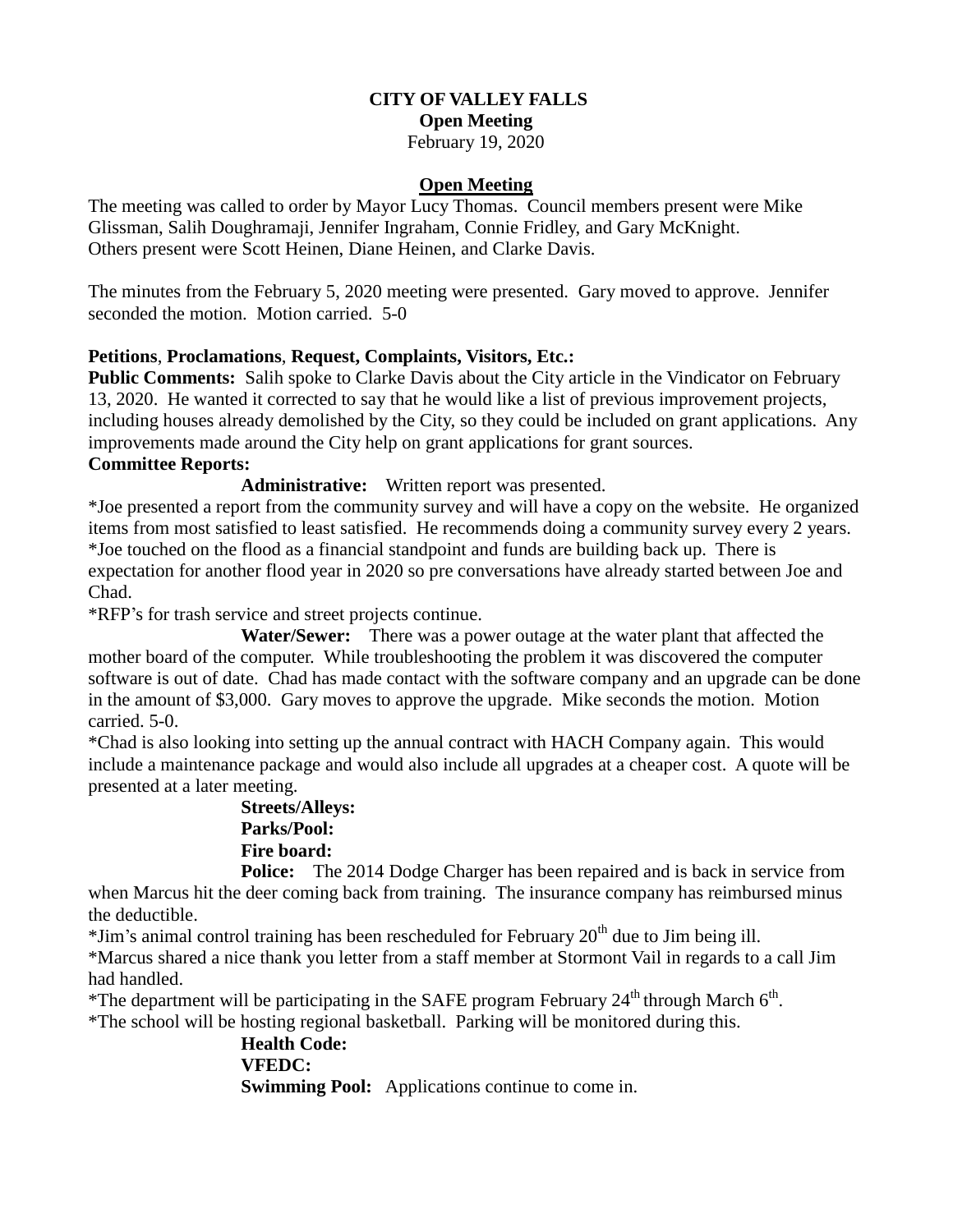#### **CITY OF VALLEY FALLS Open Meeting**

February 19, 2020

## **Open Meeting**

The meeting was called to order by Mayor Lucy Thomas. Council members present were Mike Glissman, Salih Doughramaji, Jennifer Ingraham, Connie Fridley, and Gary McKnight. Others present were Scott Heinen, Diane Heinen, and Clarke Davis.

The minutes from the February 5, 2020 meeting were presented. Gary moved to approve. Jennifer seconded the motion. Motion carried. 5-0

## **Petitions**, **Proclamations**, **Request, Complaints, Visitors, Etc.:**

**Public Comments:** Salih spoke to Clarke Davis about the City article in the Vindicator on February 13, 2020. He wanted it corrected to say that he would like a list of previous improvement projects, including houses already demolished by the City, so they could be included on grant applications. Any improvements made around the City help on grant applications for grant sources.

### **Committee Reports:**

**Administrative:** Written report was presented.

\*Joe presented a report from the community survey and will have a copy on the website. He organized items from most satisfied to least satisfied. He recommends doing a community survey every 2 years. \*Joe touched on the flood as a financial standpoint and funds are building back up. There is expectation for another flood year in 2020 so pre conversations have already started between Joe and Chad.

\*RFP's for trash service and street projects continue.

 **Water/Sewer:** There was a power outage at the water plant that affected the mother board of the computer. While troubleshooting the problem it was discovered the computer software is out of date. Chad has made contact with the software company and an upgrade can be done in the amount of \$3,000. Gary moves to approve the upgrade. Mike seconds the motion. Motion carried. 5-0.

\*Chad is also looking into setting up the annual contract with HACH Company again. This would include a maintenance package and would also include all upgrades at a cheaper cost. A quote will be presented at a later meeting.

# **Streets/Alleys: Parks/Pool: Fire board:**

**Police:** The 2014 Dodge Charger has been repaired and is back in service from when Marcus hit the deer coming back from training. The insurance company has reimbursed minus the deductible.

 $*$ Jim's animal control training has been rescheduled for February  $20<sup>th</sup>$  due to Jim being ill.

\*Marcus shared a nice thank you letter from a staff member at Stormont Vail in regards to a call Jim had handled.

\*The department will be participating in the SAFE program February  $24<sup>th</sup>$  through March 6<sup>th</sup>.

\*The school will be hosting regional basketball. Parking will be monitored during this.

**Health Code: VFEDC: Swimming Pool:** Applications continue to come in.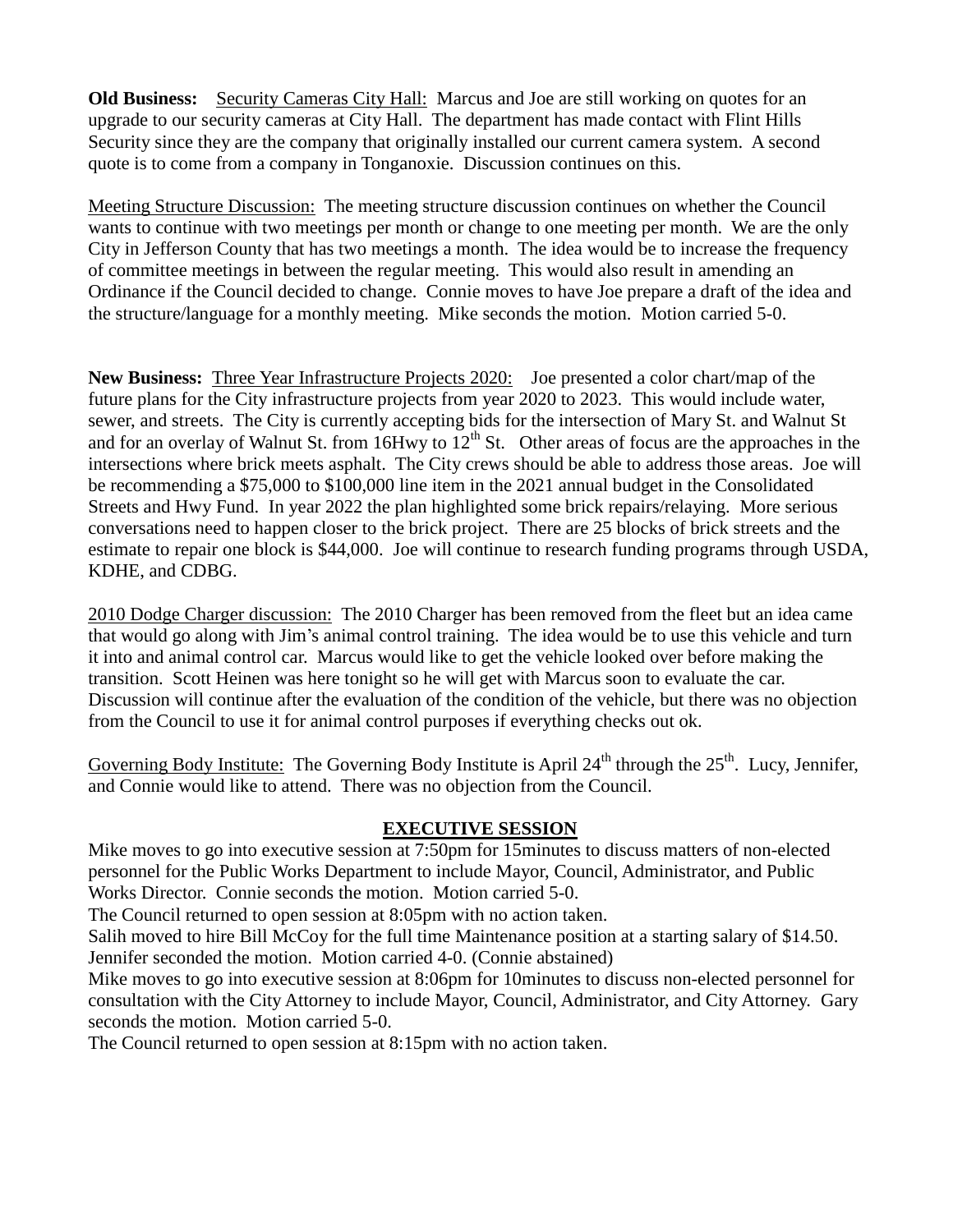**Old Business:** Security Cameras City Hall: Marcus and Joe are still working on quotes for an upgrade to our security cameras at City Hall. The department has made contact with Flint Hills Security since they are the company that originally installed our current camera system. A second quote is to come from a company in Tonganoxie. Discussion continues on this.

Meeting Structure Discussion: The meeting structure discussion continues on whether the Council wants to continue with two meetings per month or change to one meeting per month. We are the only City in Jefferson County that has two meetings a month. The idea would be to increase the frequency of committee meetings in between the regular meeting. This would also result in amending an Ordinance if the Council decided to change. Connie moves to have Joe prepare a draft of the idea and the structure/language for a monthly meeting. Mike seconds the motion. Motion carried 5-0.

**New Business:** Three Year Infrastructure Projects 2020: Joe presented a color chart/map of the future plans for the City infrastructure projects from year 2020 to 2023. This would include water, sewer, and streets. The City is currently accepting bids for the intersection of Mary St. and Walnut St and for an overlay of Walnut St. from 16Hwy to  $12<sup>th</sup>$  St. Other areas of focus are the approaches in the intersections where brick meets asphalt. The City crews should be able to address those areas. Joe will be recommending a \$75,000 to \$100,000 line item in the 2021 annual budget in the Consolidated Streets and Hwy Fund. In year 2022 the plan highlighted some brick repairs/relaying. More serious conversations need to happen closer to the brick project. There are 25 blocks of brick streets and the estimate to repair one block is \$44,000. Joe will continue to research funding programs through USDA, KDHE, and CDBG.

2010 Dodge Charger discussion: The 2010 Charger has been removed from the fleet but an idea came that would go along with Jim's animal control training. The idea would be to use this vehicle and turn it into and animal control car. Marcus would like to get the vehicle looked over before making the transition. Scott Heinen was here tonight so he will get with Marcus soon to evaluate the car. Discussion will continue after the evaluation of the condition of the vehicle, but there was no objection from the Council to use it for animal control purposes if everything checks out ok.

Governing Body Institute: The Governing Body Institute is April  $24<sup>th</sup>$  through the  $25<sup>th</sup>$ . Lucy, Jennifer, and Connie would like to attend. There was no objection from the Council.

## **EXECUTIVE SESSION**

Mike moves to go into executive session at 7:50pm for 15minutes to discuss matters of non-elected personnel for the Public Works Department to include Mayor, Council, Administrator, and Public Works Director. Connie seconds the motion. Motion carried 5-0.

The Council returned to open session at 8:05pm with no action taken.

Salih moved to hire Bill McCoy for the full time Maintenance position at a starting salary of \$14.50. Jennifer seconded the motion. Motion carried 4-0. (Connie abstained)

Mike moves to go into executive session at 8:06pm for 10minutes to discuss non-elected personnel for consultation with the City Attorney to include Mayor, Council, Administrator, and City Attorney. Gary seconds the motion. Motion carried 5-0.

The Council returned to open session at 8:15pm with no action taken.